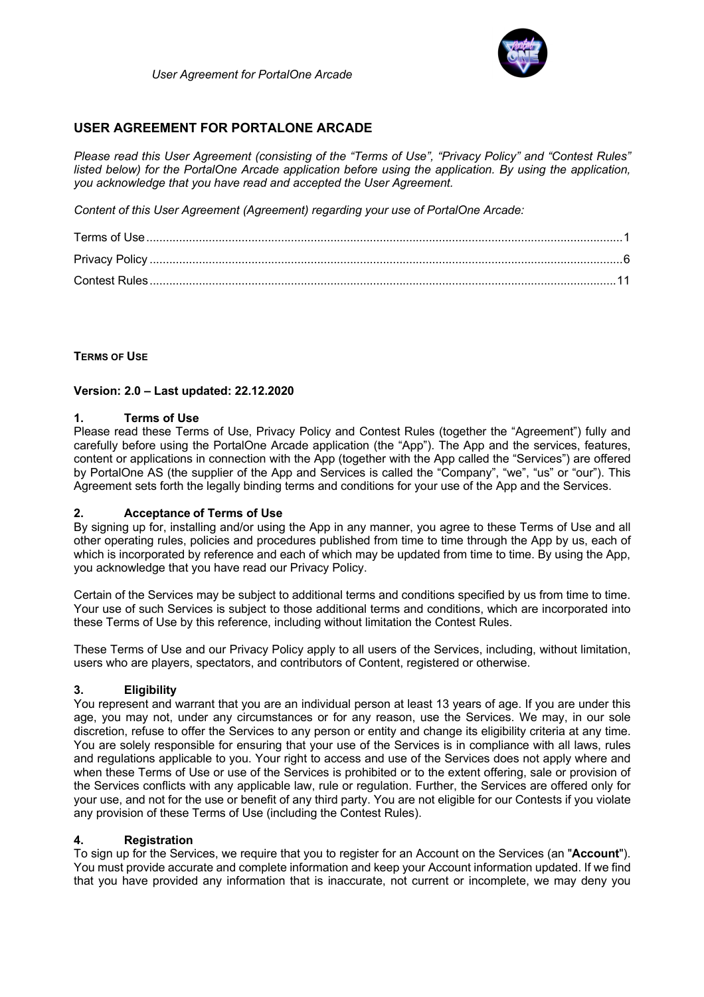

# **USER AGREEMENT FOR PORTALONE ARCADE**

*Please read this User Agreement (consisting of the "Terms of Use", "Privacy Policy" and "Contest Rules" listed below) for the PortalOne Arcade application before using the application. By using the application, you acknowledge that you have read and accepted the User Agreement.* 

*Content of this User Agreement (Agreement) regarding your use of PortalOne Arcade:*

# **TERMS OF USE**

# **Version: 2.0 – Last updated: 22.12.2020**

# **1. Terms of Use**

Please read these Terms of Use, Privacy Policy and Contest Rules (together the "Agreement") fully and carefully before using the PortalOne Arcade application (the "App"). The App and the services, features, content or applications in connection with the App (together with the App called the "Services") are offered by PortalOne AS (the supplier of the App and Services is called the "Company", "we", "us" or "our"). This Agreement sets forth the legally binding terms and conditions for your use of the App and the Services.

# **2. Acceptance of Terms of Use**

By signing up for, installing and/or using the App in any manner, you agree to these Terms of Use and all other operating rules, policies and procedures published from time to time through the App by us, each of which is incorporated by reference and each of which may be updated from time to time. By using the App, you acknowledge that you have read our Privacy Policy.

Certain of the Services may be subject to additional terms and conditions specified by us from time to time. Your use of such Services is subject to those additional terms and conditions, which are incorporated into these Terms of Use by this reference, including without limitation the Contest Rules.

These Terms of Use and our Privacy Policy apply to all users of the Services, including, without limitation, users who are players, spectators, and contributors of Content, registered or otherwise.

# **3. Eligibility**

You represent and warrant that you are an individual person at least 13 years of age. If you are under this age, you may not, under any circumstances or for any reason, use the Services. We may, in our sole discretion, refuse to offer the Services to any person or entity and change its eligibility criteria at any time. You are solely responsible for ensuring that your use of the Services is in compliance with all laws, rules and regulations applicable to you. Your right to access and use of the Services does not apply where and when these Terms of Use or use of the Services is prohibited or to the extent offering, sale or provision of the Services conflicts with any applicable law, rule or regulation. Further, the Services are offered only for your use, and not for the use or benefit of any third party. You are not eligible for our Contests if you violate any provision of these Terms of Use (including the Contest Rules).

# **4. Registration**

To sign up for the Services, we require that you to register for an Account on the Services (an "**Account**"). You must provide accurate and complete information and keep your Account information updated. If we find that you have provided any information that is inaccurate, not current or incomplete, we may deny you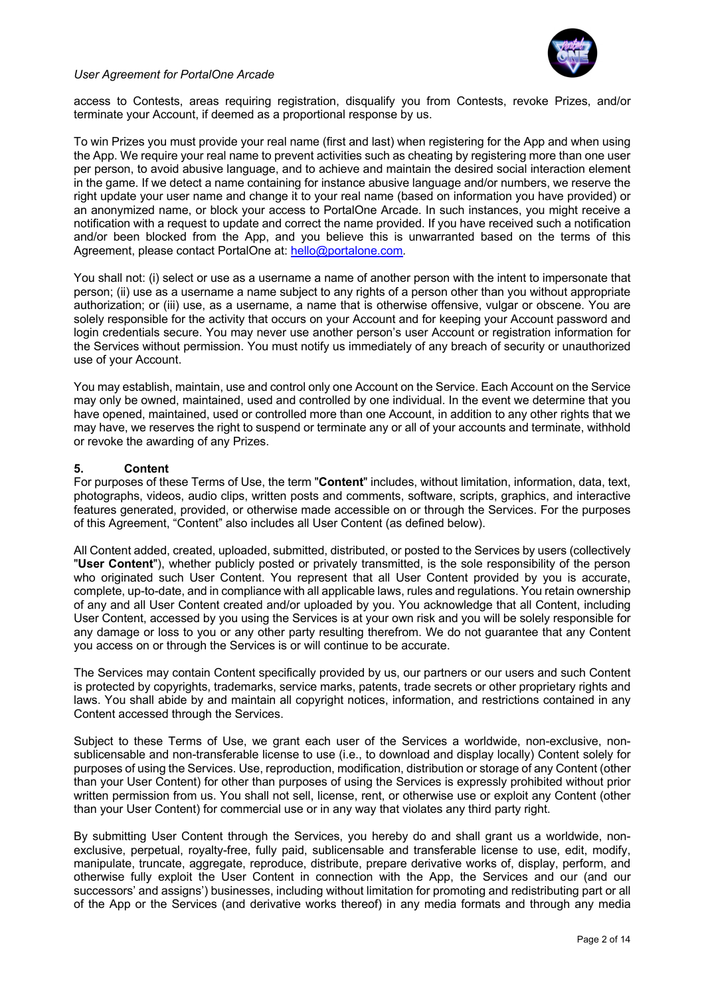

access to Contests, areas requiring registration, disqualify you from Contests, revoke Prizes, and/or terminate your Account, if deemed as a proportional response by us.

To win Prizes you must provide your real name (first and last) when registering for the App and when using the App. We require your real name to prevent activities such as cheating by registering more than one user per person, to avoid abusive language, and to achieve and maintain the desired social interaction element in the game. If we detect a name containing for instance abusive language and/or numbers, we reserve the right update your user name and change it to your real name (based on information you have provided) or an anonymized name, or block your access to PortalOne Arcade. In such instances, you might receive a notification with a request to update and correct the name provided. If you have received such a notification and/or been blocked from the App, and you believe this is unwarranted based on the terms of this Agreement, please contact PortalOne at: hello@portalone.com*.*

You shall not: (i) select or use as a username a name of another person with the intent to impersonate that person; (ii) use as a username a name subject to any rights of a person other than you without appropriate authorization; or (iii) use, as a username, a name that is otherwise offensive, vulgar or obscene. You are solely responsible for the activity that occurs on your Account and for keeping your Account password and login credentials secure. You may never use another person's user Account or registration information for the Services without permission. You must notify us immediately of any breach of security or unauthorized use of your Account.

You may establish, maintain, use and control only one Account on the Service. Each Account on the Service may only be owned, maintained, used and controlled by one individual. In the event we determine that you have opened, maintained, used or controlled more than one Account, in addition to any other rights that we may have, we reserves the right to suspend or terminate any or all of your accounts and terminate, withhold or revoke the awarding of any Prizes.

## **5. Content**

For purposes of these Terms of Use, the term "**Content**" includes, without limitation, information, data, text, photographs, videos, audio clips, written posts and comments, software, scripts, graphics, and interactive features generated, provided, or otherwise made accessible on or through the Services. For the purposes of this Agreement, "Content" also includes all User Content (as defined below).

All Content added, created, uploaded, submitted, distributed, or posted to the Services by users (collectively "**User Content**"), whether publicly posted or privately transmitted, is the sole responsibility of the person who originated such User Content. You represent that all User Content provided by you is accurate, complete, up-to-date, and in compliance with all applicable laws, rules and regulations. You retain ownership of any and all User Content created and/or uploaded by you. You acknowledge that all Content, including User Content, accessed by you using the Services is at your own risk and you will be solely responsible for any damage or loss to you or any other party resulting therefrom. We do not guarantee that any Content you access on or through the Services is or will continue to be accurate.

The Services may contain Content specifically provided by us, our partners or our users and such Content is protected by copyrights, trademarks, service marks, patents, trade secrets or other proprietary rights and laws. You shall abide by and maintain all copyright notices, information, and restrictions contained in any Content accessed through the Services.

Subject to these Terms of Use, we grant each user of the Services a worldwide, non-exclusive, nonsublicensable and non-transferable license to use (i.e., to download and display locally) Content solely for purposes of using the Services. Use, reproduction, modification, distribution or storage of any Content (other than your User Content) for other than purposes of using the Services is expressly prohibited without prior written permission from us. You shall not sell, license, rent, or otherwise use or exploit any Content (other than your User Content) for commercial use or in any way that violates any third party right.

By submitting User Content through the Services, you hereby do and shall grant us a worldwide, nonexclusive, perpetual, royalty-free, fully paid, sublicensable and transferable license to use, edit, modify, manipulate, truncate, aggregate, reproduce, distribute, prepare derivative works of, display, perform, and otherwise fully exploit the User Content in connection with the App, the Services and our (and our successors' and assigns') businesses, including without limitation for promoting and redistributing part or all of the App or the Services (and derivative works thereof) in any media formats and through any media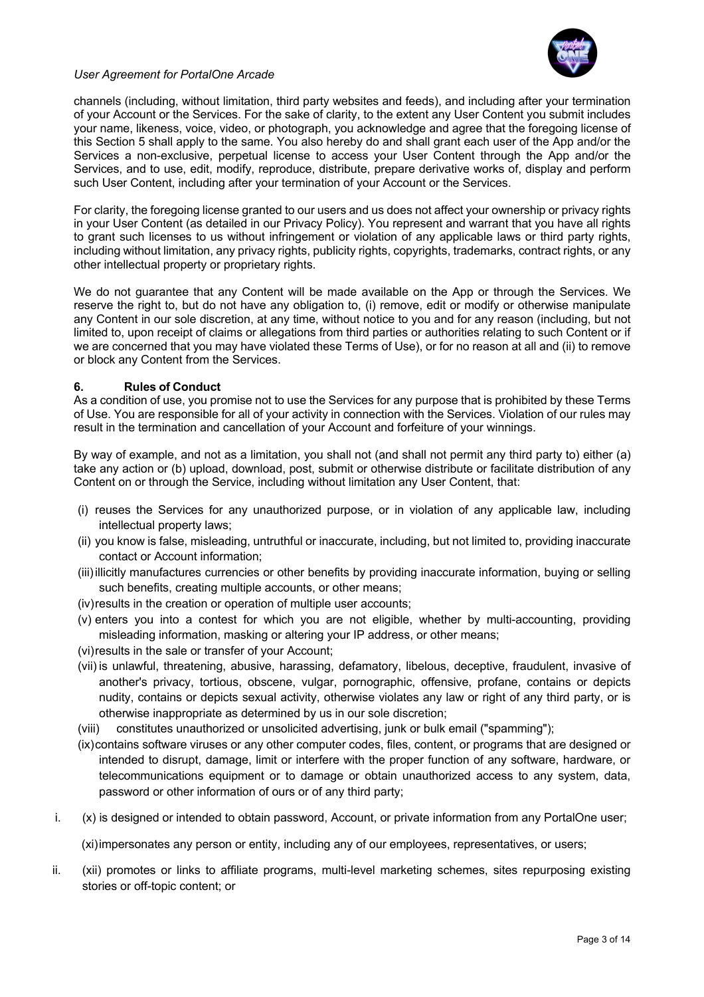

channels (including, without limitation, third party websites and feeds), and including after your termination of your Account or the Services. For the sake of clarity, to the extent any User Content you submit includes your name, likeness, voice, video, or photograph, you acknowledge and agree that the foregoing license of this Section 5 shall apply to the same. You also hereby do and shall grant each user of the App and/or the Services a non-exclusive, perpetual license to access your User Content through the App and/or the Services, and to use, edit, modify, reproduce, distribute, prepare derivative works of, display and perform such User Content, including after your termination of your Account or the Services.

For clarity, the foregoing license granted to our users and us does not affect your ownership or privacy rights in your User Content (as detailed in our Privacy Policy). You represent and warrant that you have all rights to grant such licenses to us without infringement or violation of any applicable laws or third party rights, including without limitation, any privacy rights, publicity rights, copyrights, trademarks, contract rights, or any other intellectual property or proprietary rights.

We do not guarantee that any Content will be made available on the App or through the Services. We reserve the right to, but do not have any obligation to, (i) remove, edit or modify or otherwise manipulate any Content in our sole discretion, at any time, without notice to you and for any reason (including, but not limited to, upon receipt of claims or allegations from third parties or authorities relating to such Content or if we are concerned that you may have violated these Terms of Use), or for no reason at all and (ii) to remove or block any Content from the Services.

# **6. Rules of Conduct**

As a condition of use, you promise not to use the Services for any purpose that is prohibited by these Terms of Use. You are responsible for all of your activity in connection with the Services. Violation of our rules may result in the termination and cancellation of your Account and forfeiture of your winnings.

By way of example, and not as a limitation, you shall not (and shall not permit any third party to) either (a) take any action or (b) upload, download, post, submit or otherwise distribute or facilitate distribution of any Content on or through the Service, including without limitation any User Content, that:

- (i) reuses the Services for any unauthorized purpose, or in violation of any applicable law, including intellectual property laws;
- (ii) you know is false, misleading, untruthful or inaccurate, including, but not limited to, providing inaccurate contact or Account information;
- (iii)illicitly manufactures currencies or other benefits by providing inaccurate information, buying or selling such benefits, creating multiple accounts, or other means;
- (iv)results in the creation or operation of multiple user accounts;
- (v) enters you into a contest for which you are not eligible, whether by multi-accounting, providing misleading information, masking or altering your IP address, or other means;
- (vi)results in the sale or transfer of your Account;
- (vii) is unlawful, threatening, abusive, harassing, defamatory, libelous, deceptive, fraudulent, invasive of another's privacy, tortious, obscene, vulgar, pornographic, offensive, profane, contains or depicts nudity, contains or depicts sexual activity, otherwise violates any law or right of any third party, or is otherwise inappropriate as determined by us in our sole discretion;
- (viii) constitutes unauthorized or unsolicited advertising, junk or bulk email ("spamming");
- (ix)contains software viruses or any other computer codes, files, content, or programs that are designed or intended to disrupt, damage, limit or interfere with the proper function of any software, hardware, or telecommunications equipment or to damage or obtain unauthorized access to any system, data, password or other information of ours or of any third party;
- i. (x) is designed or intended to obtain password, Account, or private information from any PortalOne user;

(xi)impersonates any person or entity, including any of our employees, representatives, or users;

ii. (xii) promotes or links to affiliate programs, multi-level marketing schemes, sites repurposing existing stories or off-topic content; or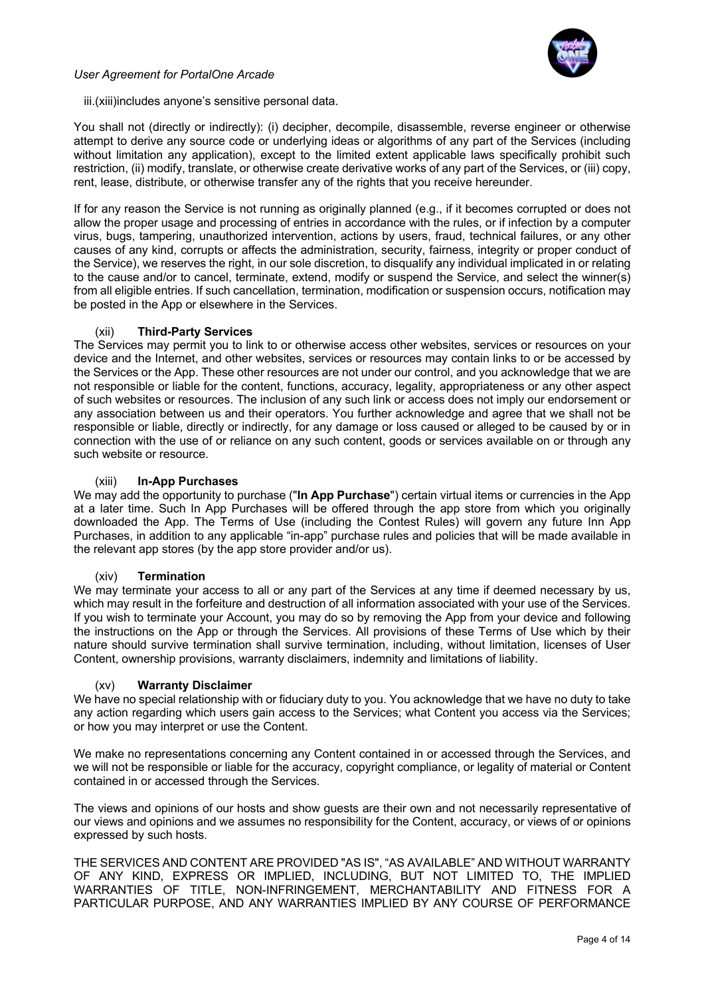

iii.(xiii)includes anyone's sensitive personal data.

You shall not (directly or indirectly): (i) decipher, decompile, disassemble, reverse engineer or otherwise attempt to derive any source code or underlying ideas or algorithms of any part of the Services (including without limitation any application), except to the limited extent applicable laws specifically prohibit such restriction, (ii) modify, translate, or otherwise create derivative works of any part of the Services, or (iii) copy, rent, lease, distribute, or otherwise transfer any of the rights that you receive hereunder.

If for any reason the Service is not running as originally planned (e.g., if it becomes corrupted or does not allow the proper usage and processing of entries in accordance with the rules, or if infection by a computer virus, bugs, tampering, unauthorized intervention, actions by users, fraud, technical failures, or any other causes of any kind, corrupts or affects the administration, security, fairness, integrity or proper conduct of the Service), we reserves the right, in our sole discretion, to disqualify any individual implicated in or relating to the cause and/or to cancel, terminate, extend, modify or suspend the Service, and select the winner(s) from all eligible entries. If such cancellation, termination, modification or suspension occurs, notification may be posted in the App or elsewhere in the Services.

## (xii) **Third-Party Services**

The Services may permit you to link to or otherwise access other websites, services or resources on your device and the Internet, and other websites, services or resources may contain links to or be accessed by the Services or the App. These other resources are not under our control, and you acknowledge that we are not responsible or liable for the content, functions, accuracy, legality, appropriateness or any other aspect of such websites or resources. The inclusion of any such link or access does not imply our endorsement or any association between us and their operators. You further acknowledge and agree that we shall not be responsible or liable, directly or indirectly, for any damage or loss caused or alleged to be caused by or in connection with the use of or reliance on any such content, goods or services available on or through any such website or resource.

## (xiii) **In-App Purchases**

We may add the opportunity to purchase ("**In App Purchase**") certain virtual items or currencies in the App at a later time. Such In App Purchases will be offered through the app store from which you originally downloaded the App. The Terms of Use (including the Contest Rules) will govern any future Inn App Purchases, in addition to any applicable "in-app" purchase rules and policies that will be made available in the relevant app stores (by the app store provider and/or us).

#### (xiv) **Termination**

We may terminate your access to all or any part of the Services at any time if deemed necessary by us, which may result in the forfeiture and destruction of all information associated with your use of the Services. If you wish to terminate your Account, you may do so by removing the App from your device and following the instructions on the App or through the Services. All provisions of these Terms of Use which by their nature should survive termination shall survive termination, including, without limitation, licenses of User Content, ownership provisions, warranty disclaimers, indemnity and limitations of liability.

#### (xv) **Warranty Disclaimer**

We have no special relationship with or fiduciary duty to you. You acknowledge that we have no duty to take any action regarding which users gain access to the Services; what Content you access via the Services; or how you may interpret or use the Content.

We make no representations concerning any Content contained in or accessed through the Services, and we will not be responsible or liable for the accuracy, copyright compliance, or legality of material or Content contained in or accessed through the Services.

The views and opinions of our hosts and show guests are their own and not necessarily representative of our views and opinions and we assumes no responsibility for the Content, accuracy, or views of or opinions expressed by such hosts.

THE SERVICES AND CONTENT ARE PROVIDED "AS IS", "AS AVAILABLE" AND WITHOUT WARRANTY OF ANY KIND, EXPRESS OR IMPLIED, INCLUDING, BUT NOT LIMITED TO, THE IMPLIED WARRANTIES OF TITLE, NON-INFRINGEMENT, MERCHANTABILITY AND FITNESS FOR A PARTICULAR PURPOSE, AND ANY WARRANTIES IMPLIED BY ANY COURSE OF PERFORMANCE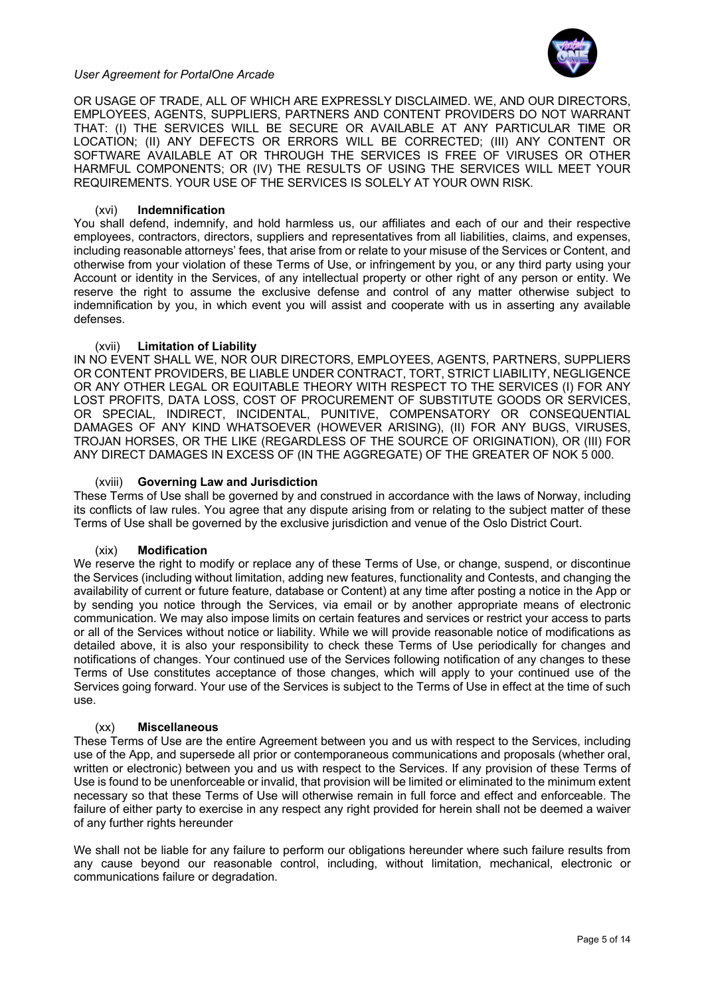

OR USAGE OF TRADE, ALL OF WHICH ARE EXPRESSLY DISCLAIMED. WE, AND OUR DIRECTORS, EMPLOYEES, AGENTS, SUPPLIERS, PARTNERS AND CONTENT PROVIDERS DO NOT WARRANT THAT: (I) THE SERVICES WILL BE SECURE OR AVAILABLE AT ANY PARTICULAR TIME OR LOCATION; (II) ANY DEFECTS OR ERRORS WILL BE CORRECTED; (III) ANY CONTENT OR SOFTWARE AVAILABLE AT OR THROUGH THE SERVICES IS FREE OF VIRUSES OR OTHER HARMFUL COMPONENTS; OR (IV) THE RESULTS OF USING THE SERVICES WILL MEET YOUR REQUIREMENTS. YOUR USE OF THE SERVICES IS SOLELY AT YOUR OWN RISK.

# (xvi) **Indemnification**

You shall defend, indemnify, and hold harmless us, our affiliates and each of our and their respective employees, contractors, directors, suppliers and representatives from all liabilities, claims, and expenses, including reasonable attorneys' fees, that arise from or relate to your misuse of the Services or Content, and otherwise from your violation of these Terms of Use, or infringement by you, or any third party using your Account or identity in the Services, of any intellectual property or other right of any person or entity. We reserve the right to assume the exclusive defense and control of any matter otherwise subject to indemnification by you, in which event you will assist and cooperate with us in asserting any available defenses.

## (xvii) **Limitation of Liability**

IN NO EVENT SHALL WE, NOR OUR DIRECTORS, EMPLOYEES, AGENTS, PARTNERS, SUPPLIERS OR CONTENT PROVIDERS, BE LIABLE UNDER CONTRACT, TORT, STRICT LIABILITY, NEGLIGENCE OR ANY OTHER LEGAL OR EQUITABLE THEORY WITH RESPECT TO THE SERVICES (I) FOR ANY LOST PROFITS, DATA LOSS, COST OF PROCUREMENT OF SUBSTITUTE GOODS OR SERVICES, OR SPECIAL, INDIRECT, INCIDENTAL, PUNITIVE, COMPENSATORY OR CONSEQUENTIAL DAMAGES OF ANY KIND WHATSOEVER (HOWEVER ARISING), (II) FOR ANY BUGS, VIRUSES, TROJAN HORSES, OR THE LIKE (REGARDLESS OF THE SOURCE OF ORIGINATION), OR (III) FOR ANY DIRECT DAMAGES IN EXCESS OF (IN THE AGGREGATE) OF THE GREATER OF NOK 5 000.

#### (xviii) **Governing Law and Jurisdiction**

These Terms of Use shall be governed by and construed in accordance with the laws of Norway, including its conflicts of law rules. You agree that any dispute arising from or relating to the subject matter of these Terms of Use shall be governed by the exclusive jurisdiction and venue of the Oslo District Court.

#### (xix) **Modification**

We reserve the right to modify or replace any of these Terms of Use, or change, suspend, or discontinue the Services (including without limitation, adding new features, functionality and Contests, and changing the availability of current or future feature, database or Content) at any time after posting a notice in the App or by sending you notice through the Services, via email or by another appropriate means of electronic communication. We may also impose limits on certain features and services or restrict your access to parts or all of the Services without notice or liability. While we will provide reasonable notice of modifications as detailed above, it is also your responsibility to check these Terms of Use periodically for changes and notifications of changes. Your continued use of the Services following notification of any changes to these Terms of Use constitutes acceptance of those changes, which will apply to your continued use of the Services going forward. Your use of the Services is subject to the Terms of Use in effect at the time of such use.

#### (xx) **Miscellaneous**

These Terms of Use are the entire Agreement between you and us with respect to the Services, including use of the App, and supersede all prior or contemporaneous communications and proposals (whether oral, written or electronic) between you and us with respect to the Services. If any provision of these Terms of Use is found to be unenforceable or invalid, that provision will be limited or eliminated to the minimum extent necessary so that these Terms of Use will otherwise remain in full force and effect and enforceable. The failure of either party to exercise in any respect any right provided for herein shall not be deemed a waiver of any further rights hereunder

We shall not be liable for any failure to perform our obligations hereunder where such failure results from any cause beyond our reasonable control, including, without limitation, mechanical, electronic or communications failure or degradation.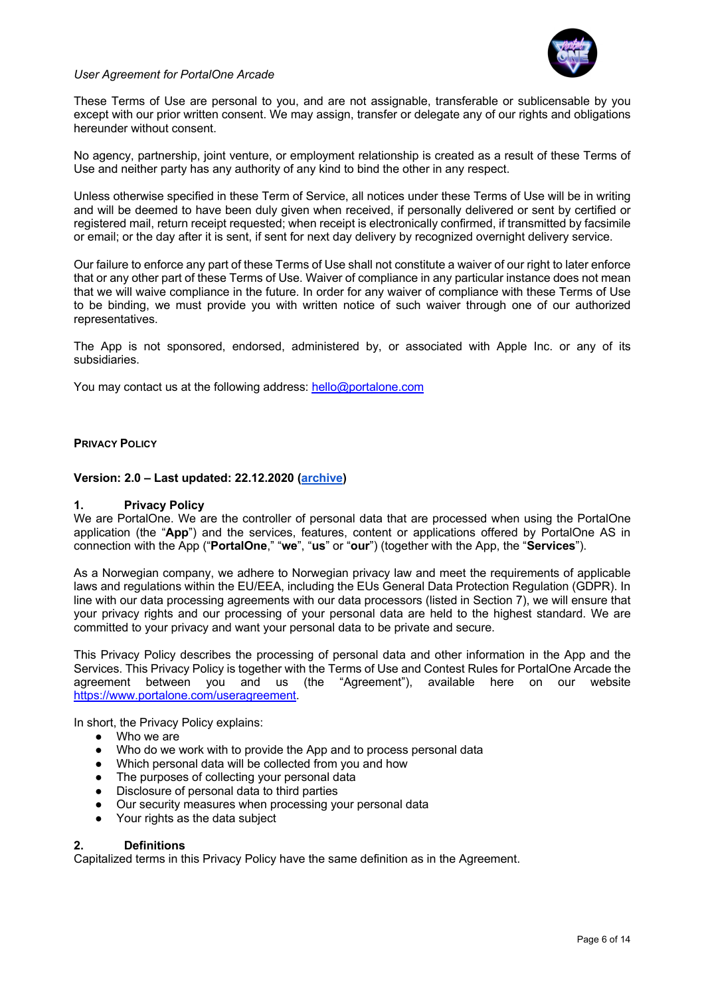

These Terms of Use are personal to you, and are not assignable, transferable or sublicensable by you except with our prior written consent. We may assign, transfer or delegate any of our rights and obligations hereunder without consent.

No agency, partnership, joint venture, or employment relationship is created as a result of these Terms of Use and neither party has any authority of any kind to bind the other in any respect.

Unless otherwise specified in these Term of Service, all notices under these Terms of Use will be in writing and will be deemed to have been duly given when received, if personally delivered or sent by certified or registered mail, return receipt requested; when receipt is electronically confirmed, if transmitted by facsimile or email; or the day after it is sent, if sent for next day delivery by recognized overnight delivery service.

Our failure to enforce any part of these Terms of Use shall not constitute a waiver of our right to later enforce that or any other part of these Terms of Use. Waiver of compliance in any particular instance does not mean that we will waive compliance in the future. In order for any waiver of compliance with these Terms of Use to be binding, we must provide you with written notice of such waiver through one of our authorized representatives.

The App is not sponsored, endorsed, administered by, or associated with Apple Inc. or any of its subsidiaries.

You may contact us at the following address: hello@portalone.com

#### **PRIVACY POLICY**

#### **Version: 2.0 – Last updated: 22.12.2020 (archive)**

#### **1. Privacy Policy**

We are PortalOne. We are the controller of personal data that are processed when using the PortalOne application (the "**App**") and the services, features, content or applications offered by PortalOne AS in connection with the App ("**PortalOne**," "**we**", "**us**" or "**our**") (together with the App, the "**Services**").

As a Norwegian company, we adhere to Norwegian privacy law and meet the requirements of applicable laws and regulations within the EU/EEA, including the EUs General Data Protection Regulation (GDPR). In line with our data processing agreements with our data processors (listed in Section 7), we will ensure that your privacy rights and our processing of your personal data are held to the highest standard. We are committed to your privacy and want your personal data to be private and secure.

This Privacy Policy describes the processing of personal data and other information in the App and the Services. This Privacy Policy is together with the Terms of Use and Contest Rules for PortalOne Arcade the agreement between you and us (the "Agreement"), available here on our website https://www.portalone.com/useragreement.

In short, the Privacy Policy explains:

- Who we are
- Who do we work with to provide the App and to process personal data
- Which personal data will be collected from you and how
- The purposes of collecting your personal data
- Disclosure of personal data to third parties
- Our security measures when processing your personal data
- Your rights as the data subject

#### **2. Definitions**

Capitalized terms in this Privacy Policy have the same definition as in the Agreement.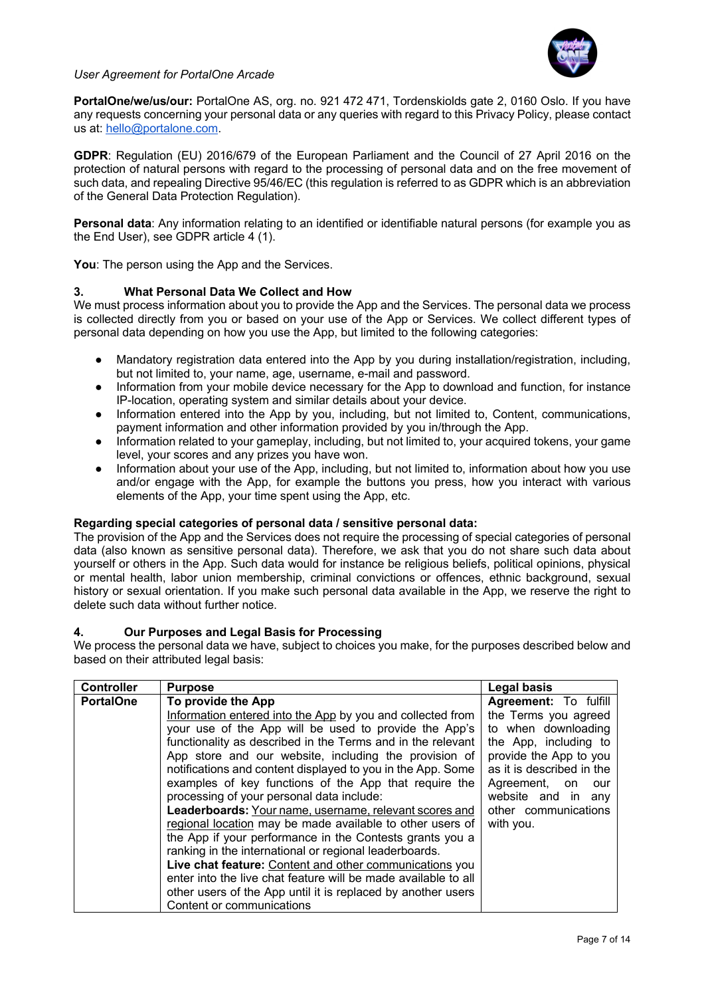

**PortalOne/we/us/our:** PortalOne AS, org. no. 921 472 471, Tordenskiolds gate 2, 0160 Oslo. If you have any requests concerning your personal data or any queries with regard to this Privacy Policy, please contact us at: hello@portalone.com.

**GDPR**: Regulation (EU) 2016/679 of the European Parliament and the Council of 27 April 2016 on the protection of natural persons with regard to the processing of personal data and on the free movement of such data, and repealing Directive 95/46/EC (this regulation is referred to as GDPR which is an abbreviation of the General Data Protection Regulation).

**Personal data**: Any information relating to an identified or identifiable natural persons (for example you as the End User), see GDPR article 4 (1).

**You**: The person using the App and the Services.

# **3. What Personal Data We Collect and How**

We must process information about you to provide the App and the Services. The personal data we process is collected directly from you or based on your use of the App or Services. We collect different types of personal data depending on how you use the App, but limited to the following categories:

- Mandatory registration data entered into the App by you during installation/registration, including, but not limited to, your name, age, username, e-mail and password.
- Information from your mobile device necessary for the App to download and function, for instance IP-location, operating system and similar details about your device.
- Information entered into the App by you, including, but not limited to, Content, communications, payment information and other information provided by you in/through the App.
- Information related to your gameplay, including, but not limited to, your acquired tokens, your game level, your scores and any prizes you have won.
- Information about your use of the App, including, but not limited to, information about how you use and/or engage with the App, for example the buttons you press, how you interact with various elements of the App, your time spent using the App, etc.

# **Regarding special categories of personal data / sensitive personal data:**

The provision of the App and the Services does not require the processing of special categories of personal data (also known as sensitive personal data). Therefore, we ask that you do not share such data about yourself or others in the App. Such data would for instance be religious beliefs, political opinions, physical or mental health, labor union membership, criminal convictions or offences, ethnic background, sexual history or sexual orientation. If you make such personal data available in the App, we reserve the right to delete such data without further notice.

# **4. Our Purposes and Legal Basis for Processing**

We process the personal data we have, subject to choices you make, for the purposes described below and based on their attributed legal basis:

| <b>Controller</b> | <b>Purpose</b>                                                 | <b>Legal basis</b>        |
|-------------------|----------------------------------------------------------------|---------------------------|
| <b>PortalOne</b>  | To provide the App                                             | Agreement: To fulfill     |
|                   | Information entered into the App by you and collected from     | the Terms you agreed      |
|                   | your use of the App will be used to provide the App's          | to when downloading       |
|                   | functionality as described in the Terms and in the relevant    | the App, including to     |
|                   | App store and our website, including the provision of          | provide the App to you    |
|                   | notifications and content displayed to you in the App. Some    | as it is described in the |
|                   | examples of key functions of the App that require the          | Agreement, on<br>our      |
|                   | processing of your personal data include:                      | website and in any        |
|                   | Leaderboards: Your name, username, relevant scores and         | other communications      |
|                   | regional location may be made available to other users of      | with you.                 |
|                   | the App if your performance in the Contests grants you a       |                           |
|                   | ranking in the international or regional leaderboards.         |                           |
|                   | Live chat feature: Content and other communications you        |                           |
|                   | enter into the live chat feature will be made available to all |                           |
|                   | other users of the App until it is replaced by another users   |                           |
|                   | Content or communications                                      |                           |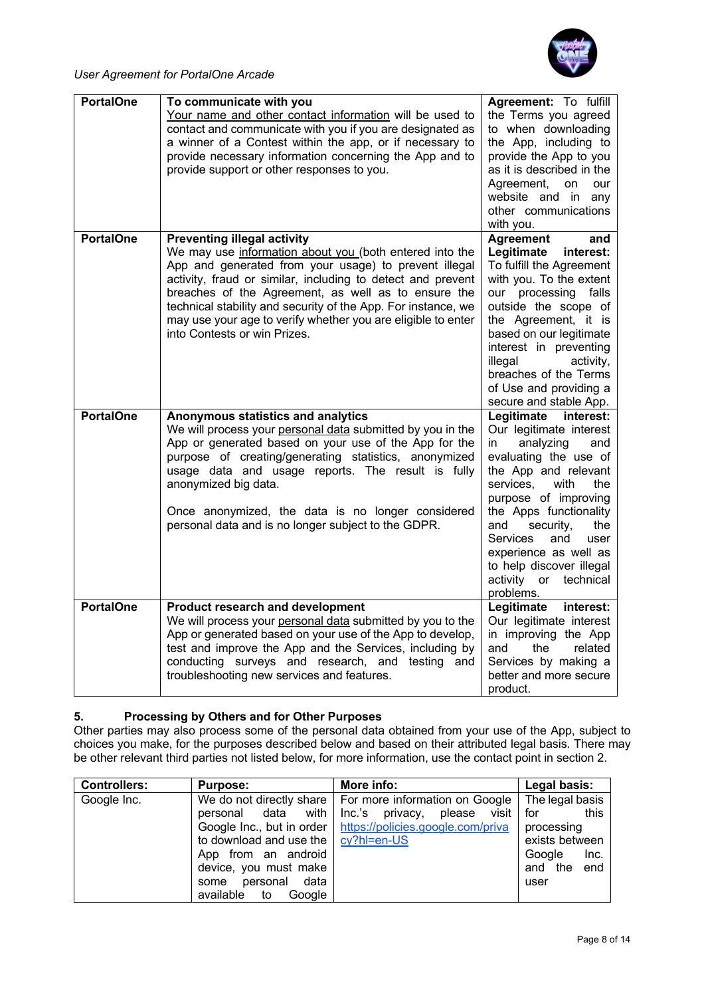

| <b>PortalOne</b> | To communicate with you<br>Your name and other contact information will be used to<br>contact and communicate with you if you are designated as<br>a winner of a Contest within the app, or if necessary to<br>provide necessary information concerning the App and to<br>provide support or other responses to you.                                                                                                                          | Agreement: To fulfill<br>the Terms you agreed<br>to when downloading<br>the App, including to<br>provide the App to you<br>as it is described in the<br>Agreement,<br>on<br>our<br>website and in any<br>other communications<br>with you.                                                                                                                   |
|------------------|-----------------------------------------------------------------------------------------------------------------------------------------------------------------------------------------------------------------------------------------------------------------------------------------------------------------------------------------------------------------------------------------------------------------------------------------------|--------------------------------------------------------------------------------------------------------------------------------------------------------------------------------------------------------------------------------------------------------------------------------------------------------------------------------------------------------------|
| <b>PortalOne</b> | <b>Preventing illegal activity</b><br>We may use information about you (both entered into the<br>App and generated from your usage) to prevent illegal<br>activity, fraud or similar, including to detect and prevent<br>breaches of the Agreement, as well as to ensure the<br>technical stability and security of the App. For instance, we<br>may use your age to verify whether you are eligible to enter<br>into Contests or win Prizes. | <b>Agreement</b><br>and<br>Legitimate<br>interest:<br>To fulfill the Agreement<br>with you. To the extent<br>our processing falls<br>outside the scope of<br>the Agreement, it is<br>based on our legitimate<br>interest in preventing<br>illegal<br>activity,<br>breaches of the Terms<br>of Use and providing a<br>secure and stable App.                  |
| <b>PortalOne</b> | Anonymous statistics and analytics<br>We will process your personal data submitted by you in the<br>App or generated based on your use of the App for the<br>purpose of creating/generating statistics, anonymized<br>usage data and usage reports. The result is fully<br>anonymized big data.<br>Once anonymized, the data is no longer considered<br>personal data and is no longer subject to the GDPR.                                   | Legitimate<br>interest:<br>Our legitimate interest<br>analyzing<br>in<br>and<br>evaluating the use of<br>the App and relevant<br>services,<br>with<br>the<br>purpose of improving<br>the Apps functionality<br>and<br>security,<br>the<br>Services<br>and<br>user<br>experience as well as<br>to help discover illegal<br>activity or technical<br>problems. |
| <b>PortalOne</b> | <b>Product research and development</b><br>We will process your personal data submitted by you to the<br>App or generated based on your use of the App to develop,<br>test and improve the App and the Services, including by<br>conducting surveys and research, and testing and<br>troubleshooting new services and features.                                                                                                               | Legitimate interest:<br>Our legitimate interest<br>in improving the App<br>related<br>and<br>the<br>Services by making a<br>better and more secure<br>product.                                                                                                                                                                                               |

# **5. Processing by Others and for Other Purposes**

Other parties may also process some of the personal data obtained from your use of the App, subject to choices you make, for the purposes described below and based on their attributed legal basis. There may be other relevant third parties not listed below, for more information, use the contact point in section 2.

| <b>Controllers:</b> | <b>Purpose:</b>           | More info:                                                    | Legal basis:    |
|---------------------|---------------------------|---------------------------------------------------------------|-----------------|
| Google Inc.         |                           | We do not directly share   For more information on Google     | The legal basis |
|                     | personal data with        | Inc.'s privacy,<br>please visit                               | this<br>for     |
|                     |                           | Google Inc., but in order   https://policies.google.com/priva | processing      |
|                     | to download and use the   | cy?hl=en-US                                                   | exists between  |
|                     | App from an android       |                                                               | Google<br>Inc.  |
|                     | device, you must make     |                                                               | and the<br>end  |
|                     | personal data<br>some     |                                                               | user            |
|                     | available<br>to<br>Google |                                                               |                 |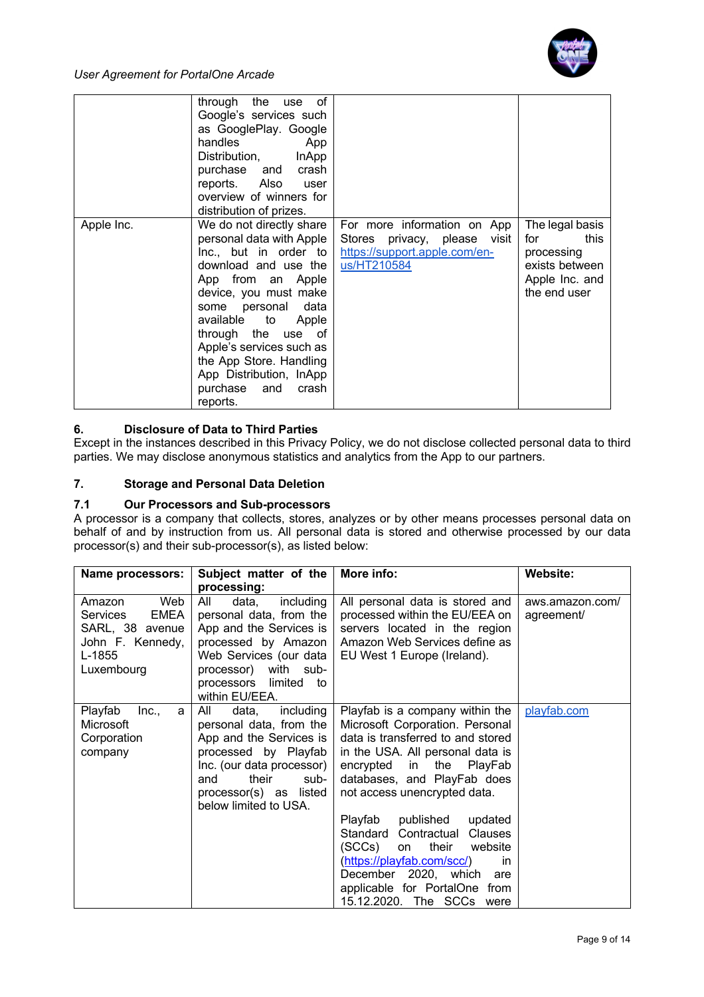

|            | through the use<br>οf<br>Google's services such<br>as GooglePlay. Google<br>handles<br>App<br>Distribution, InApp<br>purchase and crash<br>reports. Also user<br>overview of winners for<br>distribution of prizes.                                                                                                                            |                                                                                                                |                                                                                                  |
|------------|------------------------------------------------------------------------------------------------------------------------------------------------------------------------------------------------------------------------------------------------------------------------------------------------------------------------------------------------|----------------------------------------------------------------------------------------------------------------|--------------------------------------------------------------------------------------------------|
| Apple Inc. | We do not directly share<br>personal data with Apple<br>Inc., but in order to  <br>download and use the<br>App from an Apple<br>device, you must make<br>some personal data<br>available to Apple<br>through the use of<br>Apple's services such as<br>the App Store. Handling<br>App Distribution, InApp<br>purchase and<br>crash<br>reports. | For more information on App<br>Stores privacy, please<br>visit<br>https://support.apple.com/en-<br>us/HT210584 | The legal basis<br>this<br>for<br>processing<br>exists between<br>Apple Inc. and<br>the end user |

# **6. Disclosure of Data to Third Parties**

Except in the instances described in this Privacy Policy, we do not disclose collected personal data to third parties. We may disclose anonymous statistics and analytics from the App to our partners.

# **7. Storage and Personal Data Deletion**

# **7.1 Our Processors and Sub-processors**

A processor is a company that collects, stores, analyzes or by other means processes personal data on behalf of and by instruction from us. All personal data is stored and otherwise processed by our data processor(s) and their sub-processor(s), as listed below:

| Name processors:               | Subject matter of the                            | More info:                        | <b>Website:</b> |
|--------------------------------|--------------------------------------------------|-----------------------------------|-----------------|
|                                | processing:                                      |                                   |                 |
| Web<br>Amazon                  | ail<br>including<br>data,                        | All personal data is stored and   | aws.amazon.com/ |
| <b>EMEA</b><br><b>Services</b> | personal data, from the                          | processed within the EU/EEA on    | agreement/      |
| SARL, 38 avenue                | App and the Services is                          | servers located in the region     |                 |
| John F. Kennedy,               | processed by Amazon                              | Amazon Web Services define as     |                 |
| L-1855                         | Web Services (our data                           | EU West 1 Europe (Ireland).       |                 |
| Luxembourg                     | processor) with sub-<br>limited to<br>processors |                                   |                 |
|                                | within EU/EEA.                                   |                                   |                 |
| Playfab<br>Inc.,<br>a          | All<br>including<br>data,                        | Playfab is a company within the   | playfab.com     |
| Microsoft                      | personal data, from the                          | Microsoft Corporation. Personal   |                 |
| Corporation                    | App and the Services is                          | data is transferred to and stored |                 |
| company                        | processed by Playfab                             | in the USA. All personal data is  |                 |
|                                | Inc. (our data processor)                        | encrypted in<br>the<br>PlayFab    |                 |
|                                | their<br>sub-<br>and                             | databases, and PlayFab does       |                 |
|                                | processor(s) as listed<br>below limited to USA.  | not access unencrypted data.      |                 |
|                                |                                                  | Playfab<br>published<br>updated   |                 |
|                                |                                                  | Standard Contractual<br>Clauses   |                 |
|                                |                                                  | (SCCs)<br>their<br>website<br>on  |                 |
|                                |                                                  | (https://playfab.com/scc/)<br>in. |                 |
|                                |                                                  | December 2020, which<br>are       |                 |
|                                |                                                  | applicable for PortalOne from     |                 |
|                                |                                                  | 15.12.2020. The SCCs were         |                 |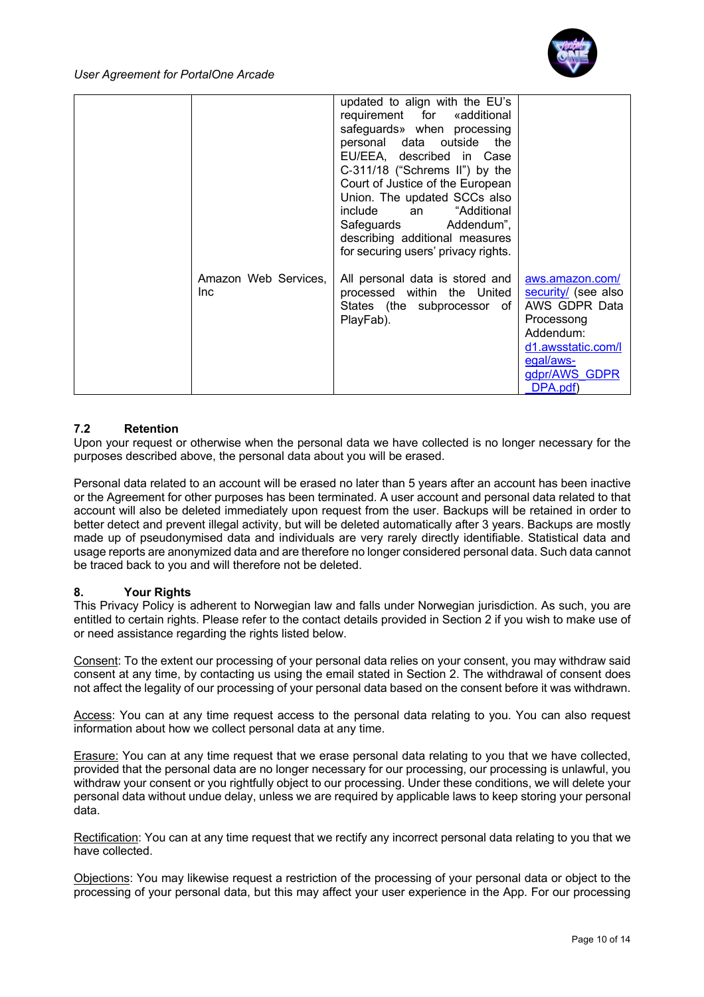

| Safeguards Addendum",<br>describing additional measures<br>for securing users' privacy rights.<br>Amazon Web Services,<br>All personal data is stored and<br>aws.amazon.com/<br>processed within the United<br>security/ (see also<br><b>Inc</b><br>AWS GDPR Data<br>States (the subprocessor of<br>PlayFab).<br>Processong<br>Addendum:<br>d1.awsstatic.com/l<br>egal/aws-<br>gdpr/AWS GDPR<br>DPA.pdf) | updated to align with the EU's<br>requirement for «additional<br>safeguards» when processing<br>personal data outside the<br>EU/EEA, described in Case<br>C-311/18 ("Schrems II") by the<br>Court of Justice of the European<br>Union. The updated SCCs also<br>include an "Additional |
|----------------------------------------------------------------------------------------------------------------------------------------------------------------------------------------------------------------------------------------------------------------------------------------------------------------------------------------------------------------------------------------------------------|----------------------------------------------------------------------------------------------------------------------------------------------------------------------------------------------------------------------------------------------------------------------------------------|
|----------------------------------------------------------------------------------------------------------------------------------------------------------------------------------------------------------------------------------------------------------------------------------------------------------------------------------------------------------------------------------------------------------|----------------------------------------------------------------------------------------------------------------------------------------------------------------------------------------------------------------------------------------------------------------------------------------|

# **7.2 Retention**

Upon your request or otherwise when the personal data we have collected is no longer necessary for the purposes described above, the personal data about you will be erased.

Personal data related to an account will be erased no later than 5 years after an account has been inactive or the Agreement for other purposes has been terminated. A user account and personal data related to that account will also be deleted immediately upon request from the user. Backups will be retained in order to better detect and prevent illegal activity, but will be deleted automatically after 3 years. Backups are mostly made up of pseudonymised data and individuals are very rarely directly identifiable. Statistical data and usage reports are anonymized data and are therefore no longer considered personal data. Such data cannot be traced back to you and will therefore not be deleted.

# **8. Your Rights**

This Privacy Policy is adherent to Norwegian law and falls under Norwegian jurisdiction. As such, you are entitled to certain rights. Please refer to the contact details provided in Section 2 if you wish to make use of or need assistance regarding the rights listed below.

Consent: To the extent our processing of your personal data relies on your consent, you may withdraw said consent at any time, by contacting us using the email stated in Section 2. The withdrawal of consent does not affect the legality of our processing of your personal data based on the consent before it was withdrawn.

Access: You can at any time request access to the personal data relating to you. You can also request information about how we collect personal data at any time.

Erasure: You can at any time request that we erase personal data relating to you that we have collected, provided that the personal data are no longer necessary for our processing, our processing is unlawful, you withdraw your consent or you rightfully object to our processing. Under these conditions, we will delete your personal data without undue delay, unless we are required by applicable laws to keep storing your personal data.

Rectification: You can at any time request that we rectify any incorrect personal data relating to you that we have collected.

Objections: You may likewise request a restriction of the processing of your personal data or object to the processing of your personal data, but this may affect your user experience in the App. For our processing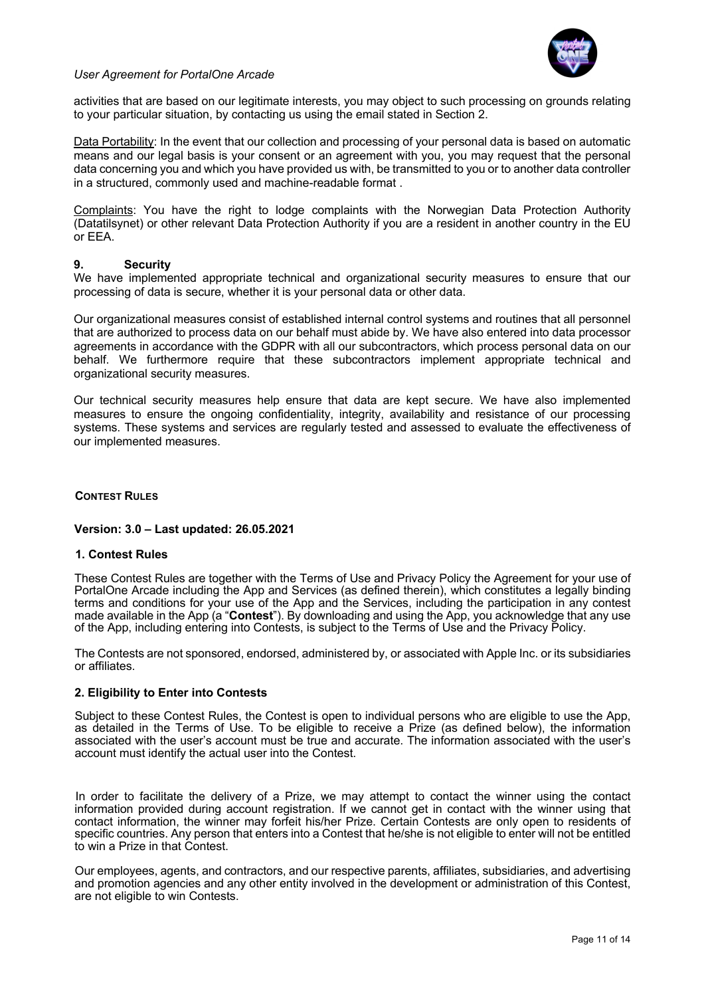

activities that are based on our legitimate interests, you may object to such processing on grounds relating to your particular situation, by contacting us using the email stated in Section 2.

Data Portability: In the event that our collection and processing of your personal data is based on automatic means and our legal basis is your consent or an agreement with you, you may request that the personal data concerning you and which you have provided us with, be transmitted to you or to another data controller in a structured, commonly used and machine-readable format .

Complaints: You have the right to lodge complaints with the Norwegian Data Protection Authority (Datatilsynet) or other relevant Data Protection Authority if you are a resident in another country in the EU or EEA.

#### **9. Security**

We have implemented appropriate technical and organizational security measures to ensure that our processing of data is secure, whether it is your personal data or other data.

Our organizational measures consist of established internal control systems and routines that all personnel that are authorized to process data on our behalf must abide by. We have also entered into data processor agreements in accordance with the GDPR with all our subcontractors, which process personal data on our behalf. We furthermore require that these subcontractors implement appropriate technical and organizational security measures.

Our technical security measures help ensure that data are kept secure. We have also implemented measures to ensure the ongoing confidentiality, integrity, availability and resistance of our processing systems. These systems and services are regularly tested and assessed to evaluate the effectiveness of our implemented measures.

#### **CONTEST RULES**

#### **Version: 3.0 – Last updated: 26.05.2021**

#### **1. Contest Rules**

These Contest Rules are together with the Terms of Use and Privacy Policy the Agreement for your use of PortalOne Arcade including the App and Services (as defined therein), which constitutes a legally binding terms and conditions for your use of the App and the Services, including the participation in any contest made available in the App (a "**Contest**"). By downloading and using the App, you acknowledge that any use of the App, including entering into Contests, is subject to the Terms of Use and the Privacy Policy.

The Contests are not sponsored, endorsed, administered by, or associated with Apple Inc. or its subsidiaries or affiliates.

#### **2. Eligibility to Enter into Contests**

Subject to these Contest Rules, the Contest is open to individual persons who are eligible to use the App, as detailed in the Terms of Use. To be eligible to receive a Prize (as defined below), the information associated with the user's account must be true and accurate. The information associated with the user's account must identify the actual user into the Contest.

In order to facilitate the delivery of a Prize, we may attempt to contact the winner using the contact information provided during account registration. If we cannot get in contact with the winner using that contact information, the winner may forfeit his/her Prize. Certain Contests are only open to residents of specific countries. Any person that enters into a Contest that he/she is not eligible to enter will not be entitled to win a Prize in that Contest.

Our employees, agents, and contractors, and our respective parents, affiliates, subsidiaries, and advertising and promotion agencies and any other entity involved in the development or administration of this Contest, are not eligible to win Contests.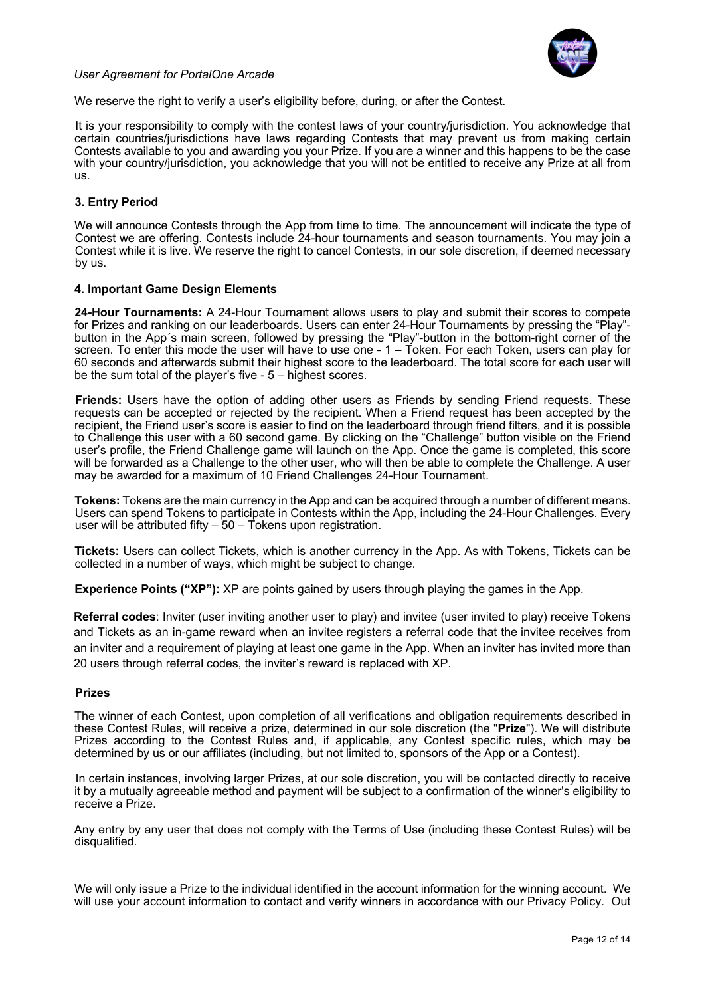

We reserve the right to verify a user's eligibility before, during, or after the Contest.

It is your responsibility to comply with the contest laws of your country/jurisdiction. You acknowledge that certain countries/jurisdictions have laws regarding Contests that may prevent us from making certain Contests available to you and awarding you your Prize. If you are a winner and this happens to be the case with your country/jurisdiction, you acknowledge that you will not be entitled to receive any Prize at all from us.

# **3. Entry Period**

We will announce Contests through the App from time to time. The announcement will indicate the type of Contest we are offering. Contests include 24-hour tournaments and season tournaments. You may join a Contest while it is live. We reserve the right to cancel Contests, in our sole discretion, if deemed necessary by us.

## **4. Important Game Design Elements**

**24-Hour Tournaments:** A 24-Hour Tournament allows users to play and submit their scores to compete for Prizes and ranking on our leaderboards. Users can enter 24-Hour Tournaments by pressing the "Play" button in the App´s main screen, followed by pressing the "Play"-button in the bottom-right corner of the screen. To enter this mode the user will have to use one - 1 – Token. For each Token, users can play for 60 seconds and afterwards submit their highest score to the leaderboard. The total score for each user will be the sum total of the player's five - 5 – highest scores.

**Friends:** Users have the option of adding other users as Friends by sending Friend requests. These requests can be accepted or rejected by the recipient. When a Friend request has been accepted by the recipient, the Friend user's score is easier to find on the leaderboard through friend filters, and it is possible to Challenge this user with a 60 second game. By clicking on the "Challenge" button visible on the Friend user's profile, the Friend Challenge game will launch on the App. Once the game is completed, this score will be forwarded as a Challenge to the other user, who will then be able to complete the Challenge. A user may be awarded for a maximum of 10 Friend Challenges 24-Hour Tournament.

**Tokens:** Tokens are the main currency in the App and can be acquired through a number of different means. Users can spend Tokens to participate in Contests within the App, including the 24-Hour Challenges. Every user will be attributed fifty  $-50 - 7$  okens upon registration.

**Tickets:** Users can collect Tickets, which is another currency in the App. As with Tokens, Tickets can be collected in a number of ways, which might be subject to change.

**Experience Points ("XP"):** XP are points gained by users through playing the games in the App.

**Referral codes**: Inviter (user inviting another user to play) and invitee (user invited to play) receive Tokens and Tickets as an in-game reward when an invitee registers a referral code that the invitee receives from an inviter and a requirement of playing at least one game in the App. When an inviter has invited more than 20 users through referral codes, the inviter's reward is replaced with XP.

# **Prizes**

The winner of each Contest, upon completion of all verifications and obligation requirements described in these Contest Rules, will receive a prize, determined in our sole discretion (the "**Prize**"). We will distribute Prizes according to the Contest Rules and, if applicable, any Contest specific rules, which may be determined by us or our affiliates (including, but not limited to, sponsors of the App or a Contest).

In certain instances, involving larger Prizes, at our sole discretion, you will be contacted directly to receive it by a mutually agreeable method and payment will be subject to a confirmation of the winner's eligibility to receive a Prize.

Any entry by any user that does not comply with the Terms of Use (including these Contest Rules) will be disqualified.

We will only issue a Prize to the individual identified in the account information for the winning account. We will use your account information to contact and verify winners in accordance with our Privacy Policy. Out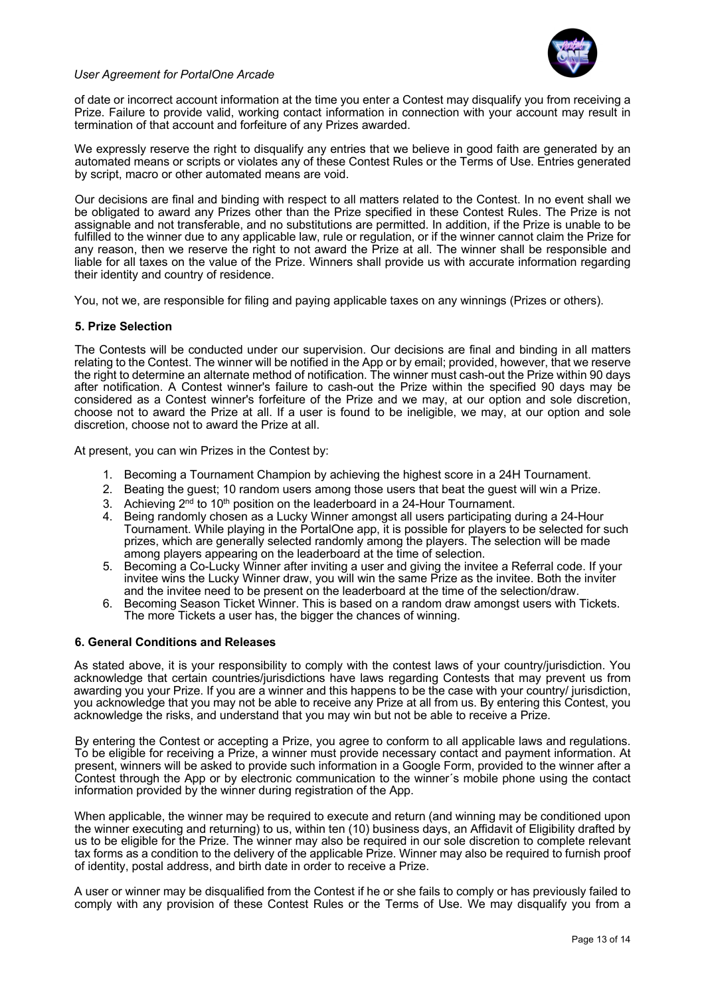

of date or incorrect account information at the time you enter a Contest may disqualify you from receiving a Prize. Failure to provide valid, working contact information in connection with your account may result in termination of that account and forfeiture of any Prizes awarded.

We expressly reserve the right to disqualify any entries that we believe in good faith are generated by an automated means or scripts or violates any of these Contest Rules or the Terms of Use. Entries generated by script, macro or other automated means are void.

Our decisions are final and binding with respect to all matters related to the Contest. In no event shall we be obligated to award any Prizes other than the Prize specified in these Contest Rules. The Prize is not assignable and not transferable, and no substitutions are permitted. In addition, if the Prize is unable to be fulfilled to the winner due to any applicable law, rule or regulation, or if the winner cannot claim the Prize for any reason, then we reserve the right to not award the Prize at all. The winner shall be responsible and liable for all taxes on the value of the Prize. Winners shall provide us with accurate information regarding their identity and country of residence.

You, not we, are responsible for filing and paying applicable taxes on any winnings (Prizes or others).

## **5. Prize Selection**

The Contests will be conducted under our supervision. Our decisions are final and binding in all matters relating to the Contest. The winner will be notified in the App or by email; provided, however, that we reserve the right to determine an alternate method of notification. The winner must cash-out the Prize within 90 days after notification. A Contest winner's failure to cash-out the Prize within the specified 90 days may be considered as a Contest winner's forfeiture of the Prize and we may, at our option and sole discretion, choose not to award the Prize at all. If a user is found to be ineligible, we may, at our option and sole discretion, choose not to award the Prize at all.

At present, you can win Prizes in the Contest by:

- 1. Becoming a Tournament Champion by achieving the highest score in a 24H Tournament.
- 2. Beating the guest; 10 random users among those users that beat the guest will win a Prize.
- 3. Achieving  $2^{nd}$  to 10<sup>th</sup> position on the leaderboard in a 24-Hour Tournament.
- 4. Being randomly chosen as a Lucky Winner amongst all users participating during a 24-Hour Tournament. While playing in the PortalOne app, it is possible for players to be selected for such prizes, which are generally selected randomly among the players. The selection will be made among players appearing on the leaderboard at the time of selection.
- 5. Becoming a Co-Lucky Winner after inviting a user and giving the invitee a Referral code. If your invitee wins the Lucky Winner draw, you will win the same Prize as the invitee. Both the inviter and the invitee need to be present on the leaderboard at the time of the selection/draw.
- 6. Becoming Season Ticket Winner. This is based on a random draw amongst users with Tickets. The more Tickets a user has, the bigger the chances of winning.

#### **6. General Conditions and Releases**

As stated above, it is your responsibility to comply with the contest laws of your country/jurisdiction. You acknowledge that certain countries/jurisdictions have laws regarding Contests that may prevent us from awarding you your Prize. If you are a winner and this happens to be the case with your country/ jurisdiction, you acknowledge that you may not be able to receive any Prize at all from us. By entering this Contest, you acknowledge the risks, and understand that you may win but not be able to receive a Prize.

By entering the Contest or accepting a Prize, you agree to conform to all applicable laws and regulations. To be eligible for receiving a Prize, a winner must provide necessary contact and payment information. At present, winners will be asked to provide such information in a Google Form, provided to the winner after a Contest through the App or by electronic communication to the winner´s mobile phone using the contact information provided by the winner during registration of the App.

When applicable, the winner may be required to execute and return (and winning may be conditioned upon the winner executing and returning) to us, within ten (10) business days, an Affidavit of Eligibility drafted by us to be eligible for the Prize. The winner may also be required in our sole discretion to complete relevant tax forms as a condition to the delivery of the applicable Prize. Winner may also be required to furnish proof of identity, postal address, and birth date in order to receive a Prize.

A user or winner may be disqualified from the Contest if he or she fails to comply or has previously failed to comply with any provision of these Contest Rules or the Terms of Use. We may disqualify you from a